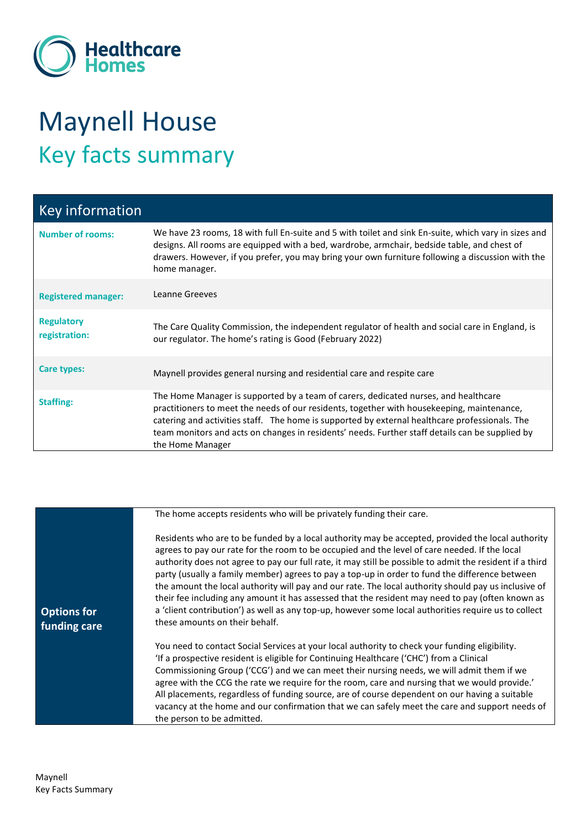

## Maynell House Key facts summary

| Key information                    |                                                                                                                                                                                                                                                                                                                                                                                                             |
|------------------------------------|-------------------------------------------------------------------------------------------------------------------------------------------------------------------------------------------------------------------------------------------------------------------------------------------------------------------------------------------------------------------------------------------------------------|
| <b>Number of rooms:</b>            | We have 23 rooms, 18 with full En-suite and 5 with toilet and sink En-suite, which vary in sizes and<br>designs. All rooms are equipped with a bed, wardrobe, armchair, bedside table, and chest of<br>drawers. However, if you prefer, you may bring your own furniture following a discussion with the<br>home manager.                                                                                   |
| <b>Registered manager:</b>         | Leanne Greeves                                                                                                                                                                                                                                                                                                                                                                                              |
| <b>Regulatory</b><br>registration: | The Care Quality Commission, the independent regulator of health and social care in England, is<br>our regulator. The home's rating is Good (February 2022)                                                                                                                                                                                                                                                 |
| Care types:                        | Maynell provides general nursing and residential care and respite care                                                                                                                                                                                                                                                                                                                                      |
| <b>Staffing:</b>                   | The Home Manager is supported by a team of carers, dedicated nurses, and healthcare<br>practitioners to meet the needs of our residents, together with house keeping, maintenance,<br>catering and activities staff. The home is supported by external healthcare professionals. The<br>team monitors and acts on changes in residents' needs. Further staff details can be supplied by<br>the Home Manager |

|                                    | The home accepts residents who will be privately funding their care.                                                                                                                                                                                                                                                                                                                                                                                                                                                                                                                                                                                                                                                                                                   |
|------------------------------------|------------------------------------------------------------------------------------------------------------------------------------------------------------------------------------------------------------------------------------------------------------------------------------------------------------------------------------------------------------------------------------------------------------------------------------------------------------------------------------------------------------------------------------------------------------------------------------------------------------------------------------------------------------------------------------------------------------------------------------------------------------------------|
| <b>Options for</b><br>funding care | Residents who are to be funded by a local authority may be accepted, provided the local authority<br>agrees to pay our rate for the room to be occupied and the level of care needed. If the local<br>authority does not agree to pay our full rate, it may still be possible to admit the resident if a third<br>party (usually a family member) agrees to pay a top-up in order to fund the difference between<br>the amount the local authority will pay and our rate. The local authority should pay us inclusive of<br>their fee including any amount it has assessed that the resident may need to pay (often known as<br>a 'client contribution') as well as any top-up, however some local authorities require us to collect<br>these amounts on their behalf. |
|                                    | You need to contact Social Services at your local authority to check your funding eligibility.<br>'If a prospective resident is eligible for Continuing Healthcare ('CHC') from a Clinical<br>Commissioning Group ('CCG') and we can meet their nursing needs, we will admit them if we<br>agree with the CCG the rate we require for the room, care and nursing that we would provide.'<br>All placements, regardless of funding source, are of course dependent on our having a suitable<br>vacancy at the home and our confirmation that we can safely meet the care and support needs of<br>the person to be admitted.                                                                                                                                             |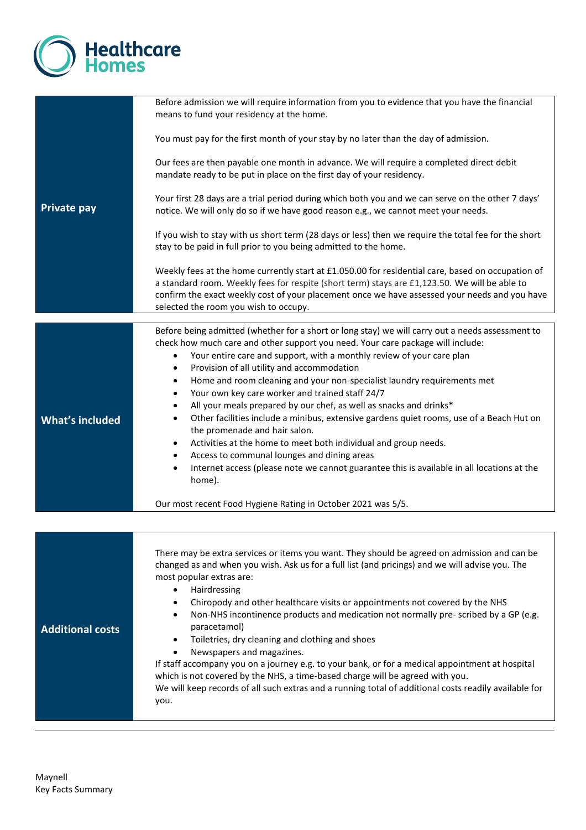

|                         | Before admission we will require information from you to evidence that you have the financial<br>means to fund your residency at the home.                                                                                                                                                                                                   |
|-------------------------|----------------------------------------------------------------------------------------------------------------------------------------------------------------------------------------------------------------------------------------------------------------------------------------------------------------------------------------------|
|                         | You must pay for the first month of your stay by no later than the day of admission.                                                                                                                                                                                                                                                         |
|                         | Our fees are then payable one month in advance. We will require a completed direct debit<br>mandate ready to be put in place on the first day of your residency.                                                                                                                                                                             |
| <b>Private pay</b>      | Your first 28 days are a trial period during which both you and we can serve on the other 7 days'<br>notice. We will only do so if we have good reason e.g., we cannot meet your needs.                                                                                                                                                      |
|                         | If you wish to stay with us short term (28 days or less) then we require the total fee for the short<br>stay to be paid in full prior to you being admitted to the home.                                                                                                                                                                     |
|                         | Weekly fees at the home currently start at £1.050.00 for residential care, based on occupation of<br>a standard room. Weekly fees for respite (short term) stays are £1,123.50. We will be able to<br>confirm the exact weekly cost of your placement once we have assessed your needs and you have<br>selected the room you wish to occupy. |
|                         | Before being admitted (whether for a short or long stay) we will carry out a needs assessment to                                                                                                                                                                                                                                             |
|                         | check how much care and other support you need. Your care package will include:<br>Your entire care and support, with a monthly review of your care plan<br>$\bullet$<br>Provision of all utility and accommodation<br>$\bullet$                                                                                                             |
|                         | Home and room cleaning and your non-specialist laundry requirements met<br>$\bullet$                                                                                                                                                                                                                                                         |
|                         | Your own key care worker and trained staff 24/7<br>$\bullet$                                                                                                                                                                                                                                                                                 |
|                         | All your meals prepared by our chef, as well as snacks and drinks*<br>$\bullet$                                                                                                                                                                                                                                                              |
| <b>What's included</b>  | Other facilities include a minibus, extensive gardens quiet rooms, use of a Beach Hut on<br>٠<br>the promenade and hair salon.                                                                                                                                                                                                               |
|                         | Activities at the home to meet both individual and group needs.<br>$\bullet$                                                                                                                                                                                                                                                                 |
|                         | Access to communal lounges and dining areas<br>٠                                                                                                                                                                                                                                                                                             |
|                         | Internet access (please note we cannot guarantee this is available in all locations at the<br>$\bullet$<br>home).                                                                                                                                                                                                                            |
|                         | Our most recent Food Hygiene Rating in October 2021 was 5/5.                                                                                                                                                                                                                                                                                 |
|                         |                                                                                                                                                                                                                                                                                                                                              |
|                         |                                                                                                                                                                                                                                                                                                                                              |
|                         | There may be extra services or items you want. They should be agreed on admission and can be<br>changed as and when you wish. Ask us for a full list (and pricings) and we will advise you. The                                                                                                                                              |
|                         | most popular extras are:                                                                                                                                                                                                                                                                                                                     |
|                         | Hairdressing<br>$\bullet$                                                                                                                                                                                                                                                                                                                    |
|                         | Chiropody and other healthcare visits or appointments not covered by the NHS<br>٠                                                                                                                                                                                                                                                            |
| <b>Additional costs</b> | Non-NHS incontinence products and medication not normally pre-scribed by a GP (e.g.<br>٠<br>paracetamol)                                                                                                                                                                                                                                     |
|                         | Toiletries, dry cleaning and clothing and shoes<br>$\bullet$                                                                                                                                                                                                                                                                                 |
|                         | Newspapers and magazines.<br>$\bullet$                                                                                                                                                                                                                                                                                                       |
|                         | If staff accompany you on a journey e.g. to your bank, or for a medical appointment at hospital<br>which is not covered by the NHS, a time-based charge will be agreed with you.                                                                                                                                                             |
|                         | We will keep records of all such extras and a running total of additional costs readily available for                                                                                                                                                                                                                                        |
|                         | you.                                                                                                                                                                                                                                                                                                                                         |
|                         |                                                                                                                                                                                                                                                                                                                                              |